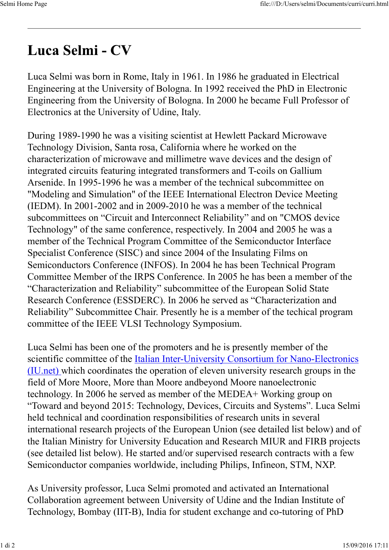## Luca Selmi - CV

Luca Selmi was born in Rome, Italy in 1961. In 1986 he graduated in Electrical Engineering at the University of Bologna. In 1992 received the PhD in Electronic Engineering from the University of Bologna. In 2000 he became Full Professor of Electronics at the University of Udine, Italy.

During 1989-1990 he was a visiting scientist at Hewlett Packard Microwave Technology Division, Santa rosa, California where he worked on the characterization of microwave and millimetre wave devices and the design of integrated circuits featuring integrated transformers and T-coils on Gallium Arsenide. In 1995-1996 he was a member of the technical subcommittee on "Modeling and Simulation" of the IEEE International Electron Device Meeting (IEDM). In 2001-2002 and in 2009-2010 he was a member of the technical subcommittees on "Circuit and Interconnect Reliability" and on "CMOS device Technology" of the same conference, respectively. In 2004 and 2005 he was a member of the Technical Program Committee of the Semiconductor Interface Specialist Conference (SISC) and since 2004 of the Insulating Films on Semiconductors Conference (INFOS). In 2004 he has been Technical Program Committee Member of the IRPS Conference. In 2005 he has been a member of the "Characterization and Reliability" subcommittee of the European Solid State Research Conference (ESSDERC). In 2006 he served as "Characterization and Reliability" Subcommittee Chair. Presently he is a member of the techical program committee of the IEEE VLSI Technology Symposium.

Luca Selmi has been one of the promoters and he is presently member of the scientific committee of the Italian Inter-University Consortium for Nano-Electronics (IU.net) which coordinates the operation of eleven university research groups in the field of More Moore, More than Moore andbeyond Moore nanoelectronic technology. In 2006 he served as member of the MEDEA+ Working group on "Toward and beyond 2015: Technology, Devices, Circuits and Systems". Luca Selmi held technical and coordination responsibilities of research units in several international research projects of the European Union (see detailed list below) and of the Italian Ministry for University Education and Research MIUR and FIRB projects (see detailed list below). He started and/or supervised research contracts with a few Semiconductor companies worldwide, including Philips, Infineon, STM, NXP.

As University professor, Luca Selmi promoted and activated an International Collaboration agreement between University of Udine and the Indian Institute of Technology, Bombay (IIT-B), India for student exchange and co-tutoring of PhD